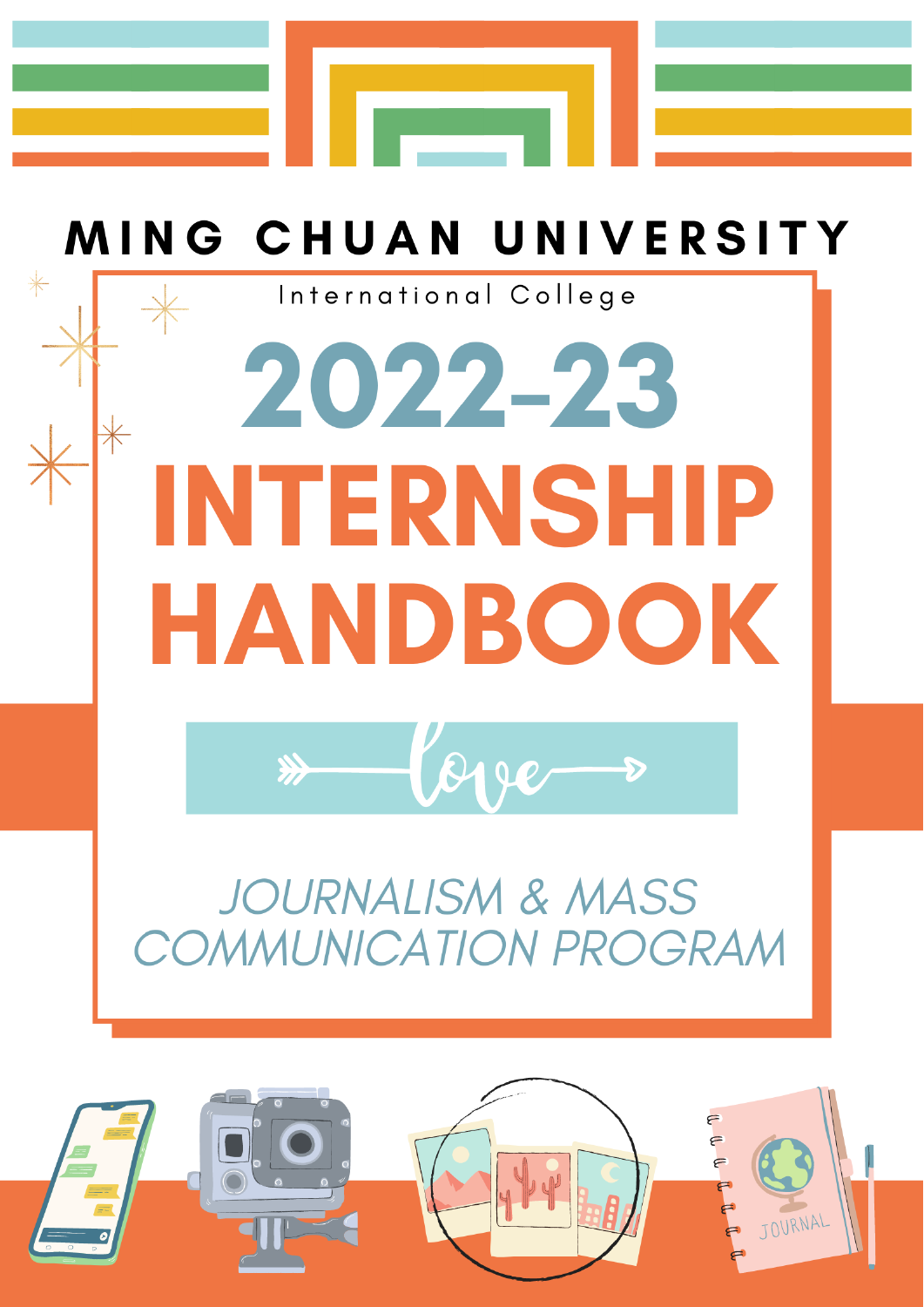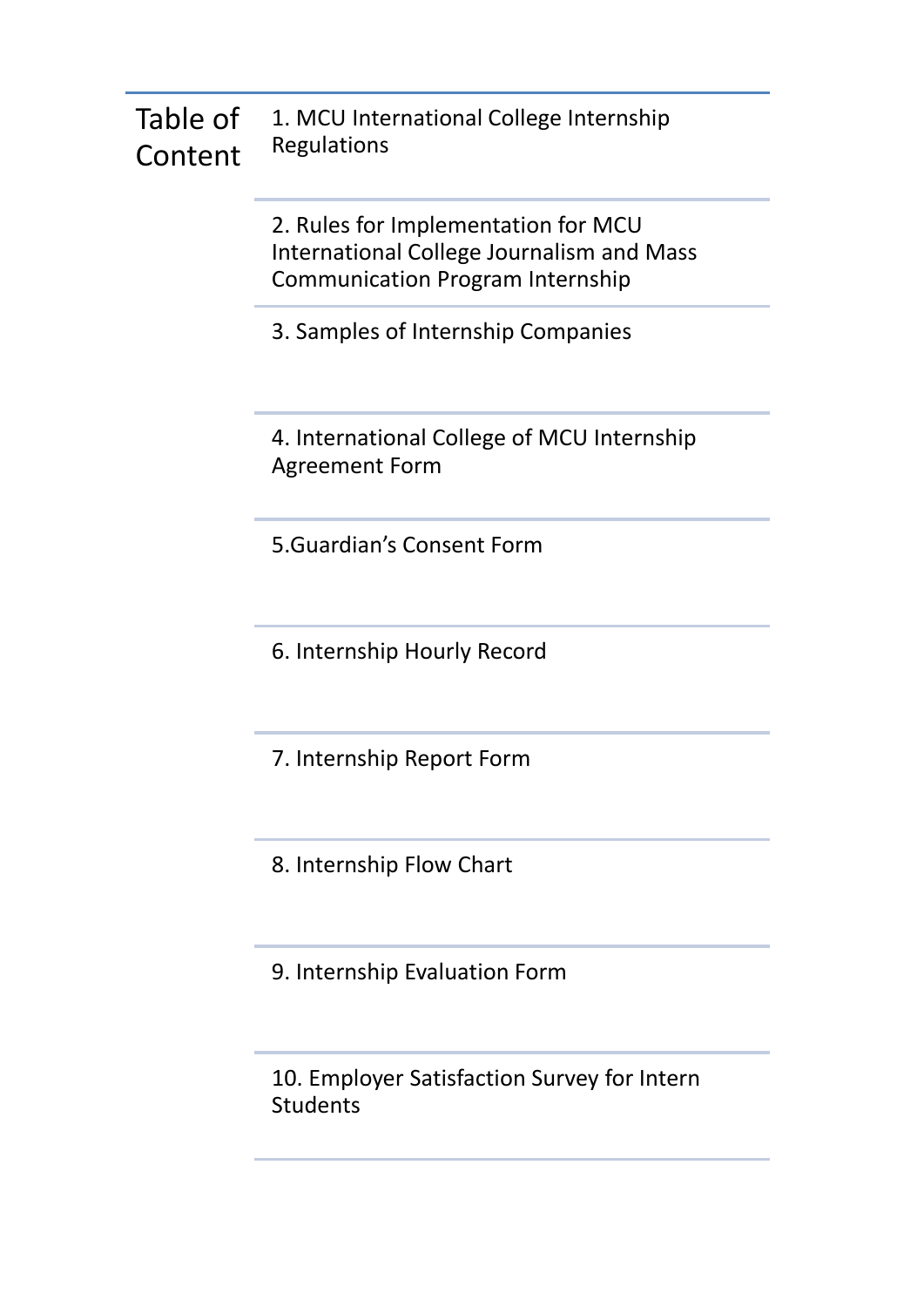#### Table of Content 1. MCU International College Internship Regulations

2. Rules for Implementation for MCU International College Journalism and Mass Communication Program Internship

3. Samples of Internship Companies

4. International College of MCU Internship Agreement Form

5.Guardian's Consent Form

6. Internship Hourly Record

7. Internship Report Form

8. Internship Flow Chart

9. Internship Evaluation Form

10. Employer Satisfaction Survey for Intern Students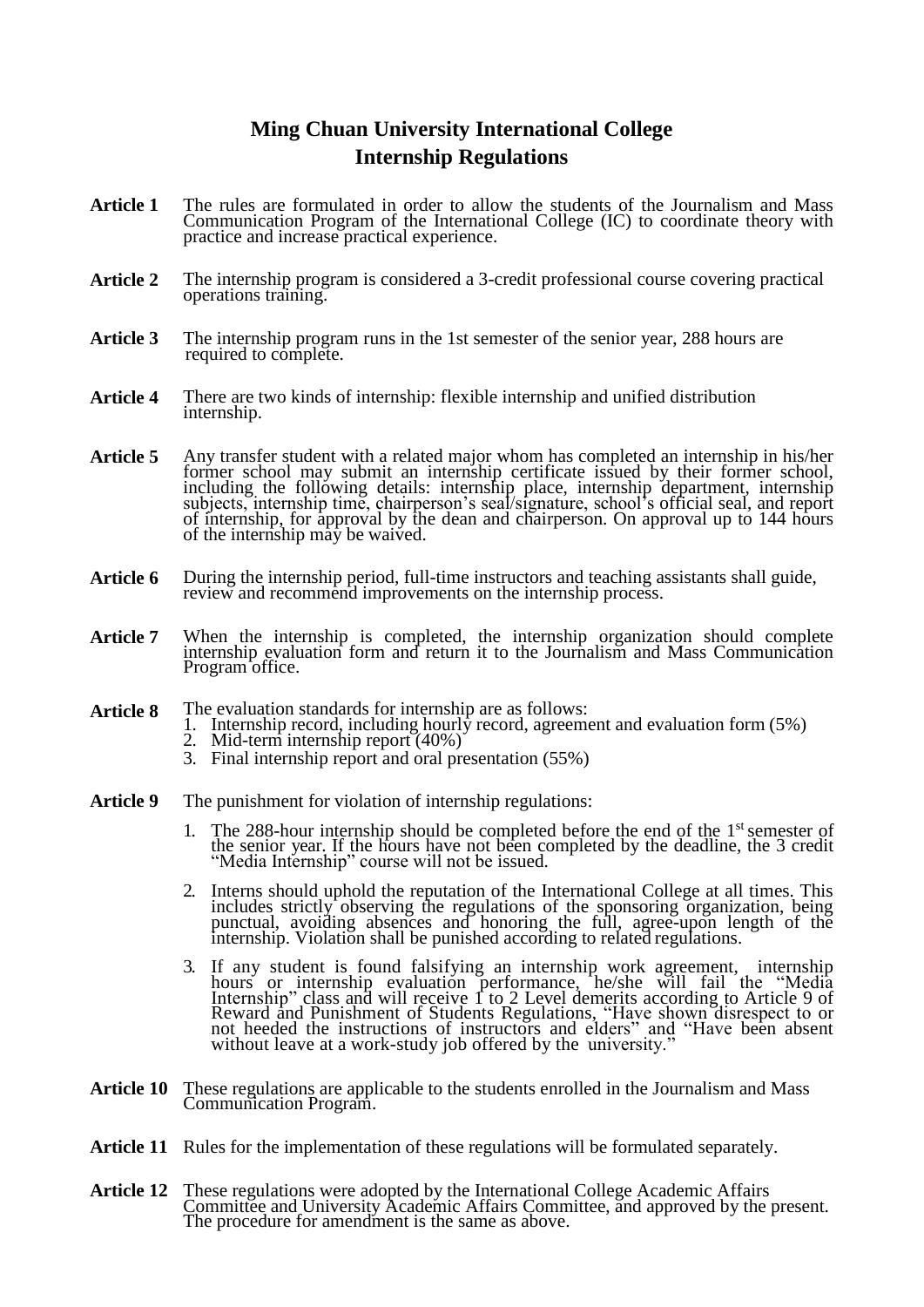## **Ming Chuan University International College Internship Regulations**

- **Article 1** The rules are formulated in order to allow the students of the Journalism and Mass Communication Program of the International College (IC) to coordinate theory with practice and increase practical experience.
- **Article 2** The internship program is considered a 3-credit professional course covering practical operations training.
- **Article 3** The internship program runs in the 1st semester of the senior year, 288 hours are required to complete.
- **Article 4** There are two kinds of internship: flexible internship and unified distribution internship.
- Article 5 Any transfer student with a related major whom has completed an internship in his/her former school may submit an internship certificate issued by their former school, including the following details: internship place, internship department, internship subjects, internship time, chairperson's seal/signature, school's official seal, and report of internship, for approval by the dean and chairperson. On approval up to 144 hours of the internship may be waived.
- **Article 6** During the internship period, full-time instructors and teaching assistants shall guide, review and recommend improvements on the internship process.
- Article 7 When the internship is completed, the internship organization should complete internship evaluation form and return it to the Journalism and Mass Communication Program office.
- **Article 8** The evaluation standards for internship are as follows:
	- 1. Internship record, including hourly record, agreement and evaluation form (5%)
	- 2. Mid-term internship report (40%)
	- 3. Final internship report and oral presentation (55%)
- **Article 9** The punishment for violation of internship regulations:
	- 1. The 288-hour internship should be completed before the end of the 1st semester of the senior year. If the hours have not been completed by the deadline, the 3 credit "Media Internship" course will not be issued.
	- 2. Interns should uphold the reputation of the International College at all times. This includes strictly observing the regulations of the sponsoring organization, being punctual, avoiding absences and honoring the full, agree-upon length of the internship. Violation shall be punished according to related regulations.
	- 3. If any student is found falsifying an internship work agreement, internship hours or internship evaluation performance, he/she will fail the "Media Internship" class and will receive 1 to 2 Level demerits according to Article 9 of Reward and Punishment of Students Regulations, "Have shown disrespect to or not heeded the instructions of instructors and elders" and "Have been absent without leave at a work-study job offered by the university."
- **Article 10** These regulations are applicable to the students enrolled in the Journalism and Mass Communication Program.
- Article 11 Rules for the implementation of these regulations will be formulated separately.
- **Article 12** These regulations were adopted by the International College Academic Affairs Committee and University Academic Affairs Committee, and approved by the present. The procedure for amendment is the same as above.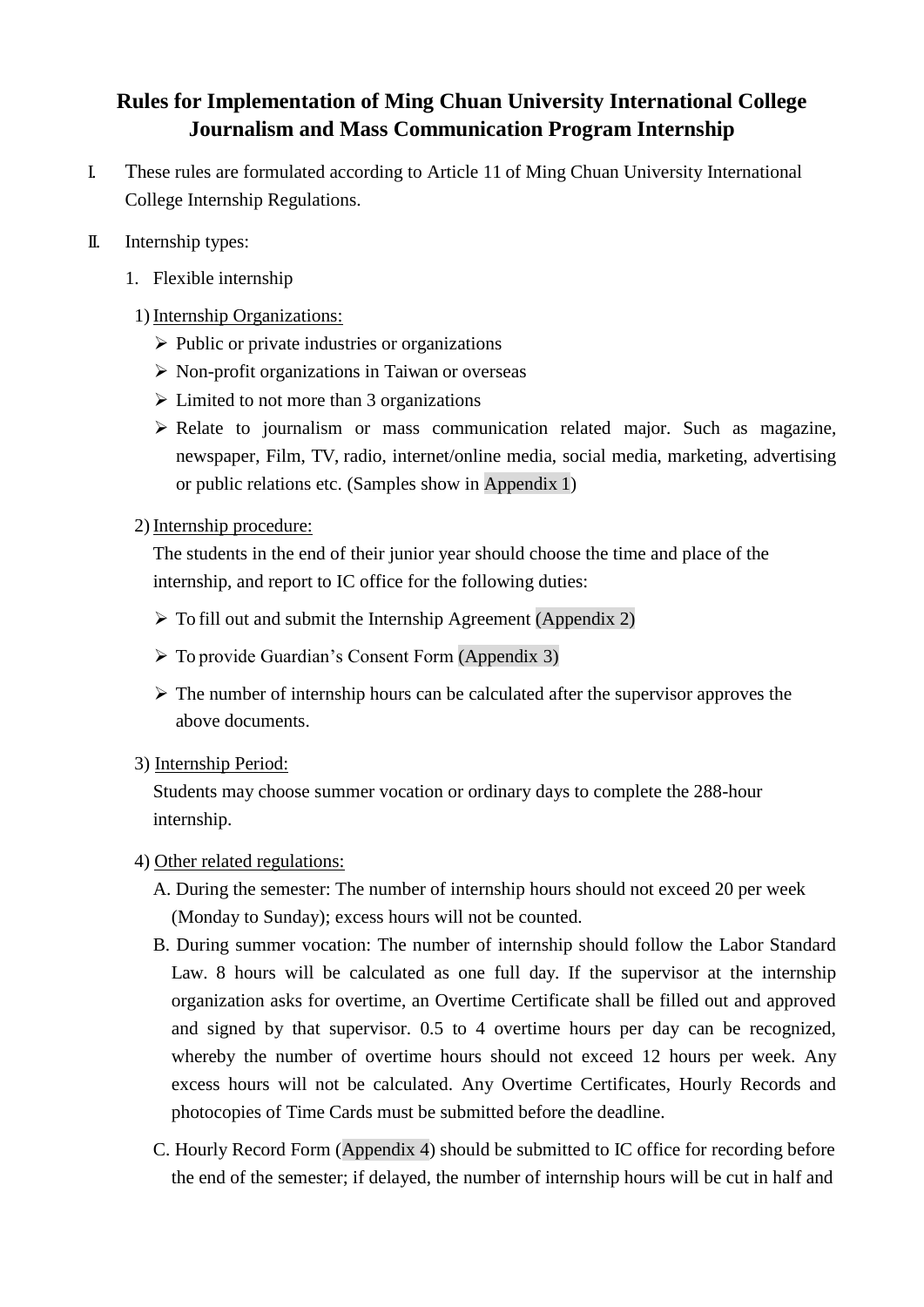# **Rules for Implementation of Ming Chuan University International College Journalism and Mass Communication Program Internship**

- I. These rules are formulated according to Article 11 of Ming Chuan University International College Internship Regulations.
- II. Internship types:
	- 1. Flexible internship

### 1) Internship Organizations:

- $\triangleright$  Public or private industries or organizations
- $\triangleright$  Non-profit organizations in Taiwan or overseas
- $\triangleright$  Limited to not more than 3 organizations
- $\triangleright$  Relate to journalism or mass communication related major. Such as magazine, newspaper, Film, TV, radio, internet/online media, social media, marketing, advertising or public relations etc. (Samples show in Appendix 1)

### 2) Internship procedure:

The students in the end of their junior year should choose the time and place of the internship, and report to IC office for the following duties:

- $\triangleright$  To fill out and submit the Internship Agreement (Appendix 2)
- To provide Guardian's Consent Form (Appendix 3)
- $\triangleright$  The number of internship hours can be calculated after the supervisor approves the above documents.
- 3) Internship Period:

Students may choose summer vocation or ordinary days to complete the 288-hour internship.

- 4) Other related regulations:
	- A. During the semester: The number of internship hours should not exceed 20 per week (Monday to Sunday); excess hours will not be counted.
	- B. During summer vocation: The number of internship should follow the Labor Standard Law. 8 hours will be calculated as one full day. If the supervisor at the internship organization asks for overtime, an Overtime Certificate shall be filled out and approved and signed by that supervisor. 0.5 to 4 overtime hours per day can be recognized, whereby the number of overtime hours should not exceed 12 hours per week. Any excess hours will not be calculated. Any Overtime Certificates, Hourly Records and photocopies of Time Cards must be submitted before the deadline.
	- C. Hourly Record Form (Appendix 4) should be submitted to IC office for recording before the end of the semester; if delayed, the number of internship hours will be cut in half and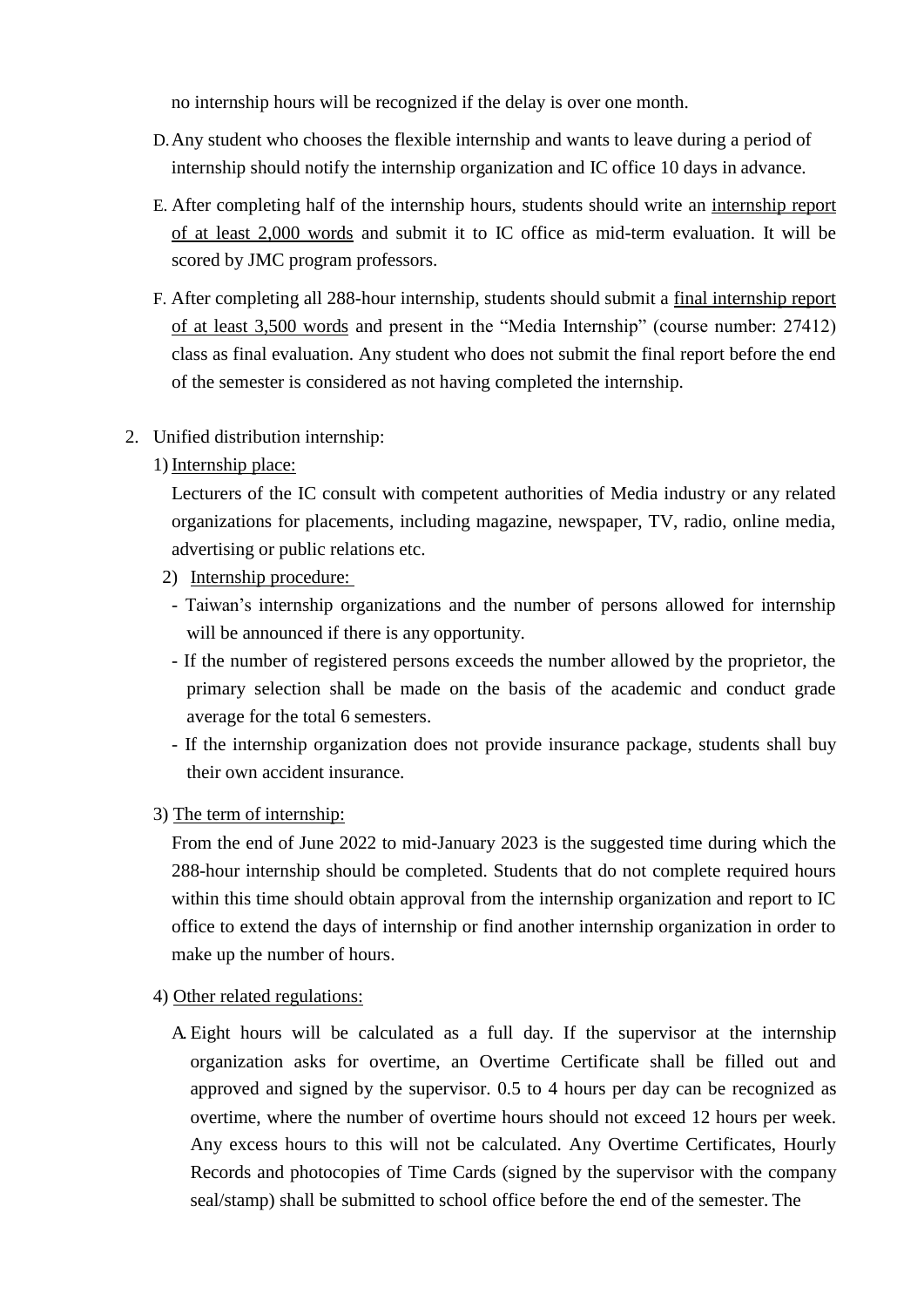no internship hours will be recognized if the delay is over one month.

- D.Any student who chooses the flexible internship and wants to leave during a period of internship should notify the internship organization and IC office 10 days in advance.
- E. After completing half of the internship hours, students should write an internship report of at least 2,000 words and submit it to IC office as mid-term evaluation. It will be scored by JMC program professors.
- F. After completing all 288-hour internship, students should submit a final internship report of at least 3,500 words and present in the "Media Internship" (course number: 27412) class as final evaluation. Any student who does not submit the final report before the end of the semester is considered as not having completed the internship.

#### 2. Unified distribution internship:

#### 1) Internship place:

Lecturers of the IC consult with competent authorities of Media industry or any related organizations for placements, including magazine, newspaper, TV, radio, online media, advertising or public relations etc.

- 2) Internship procedure:
- Taiwan's internship organizations and the number of persons allowed for internship will be announced if there is any opportunity.
- If the number of registered persons exceeds the number allowed by the proprietor, the primary selection shall be made on the basis of the academic and conduct grade average for the total 6 semesters.
- If the internship organization does not provide insurance package, students shall buy their own accident insurance.
- 3) The term of internship:

From the end of June 2022 to mid-January 2023 is the suggested time during which the 288-hour internship should be completed. Students that do not complete required hours within this time should obtain approval from the internship organization and report to IC office to extend the days of internship or find another internship organization in order to make up the number of hours.

- 4) Other related regulations:
	- A. Eight hours will be calculated as a full day. If the supervisor at the internship organization asks for overtime, an Overtime Certificate shall be filled out and approved and signed by the supervisor. 0.5 to 4 hours per day can be recognized as overtime, where the number of overtime hours should not exceed 12 hours per week. Any excess hours to this will not be calculated. Any Overtime Certificates, Hourly Records and photocopies of Time Cards (signed by the supervisor with the company seal/stamp) shall be submitted to school office before the end of the semester. The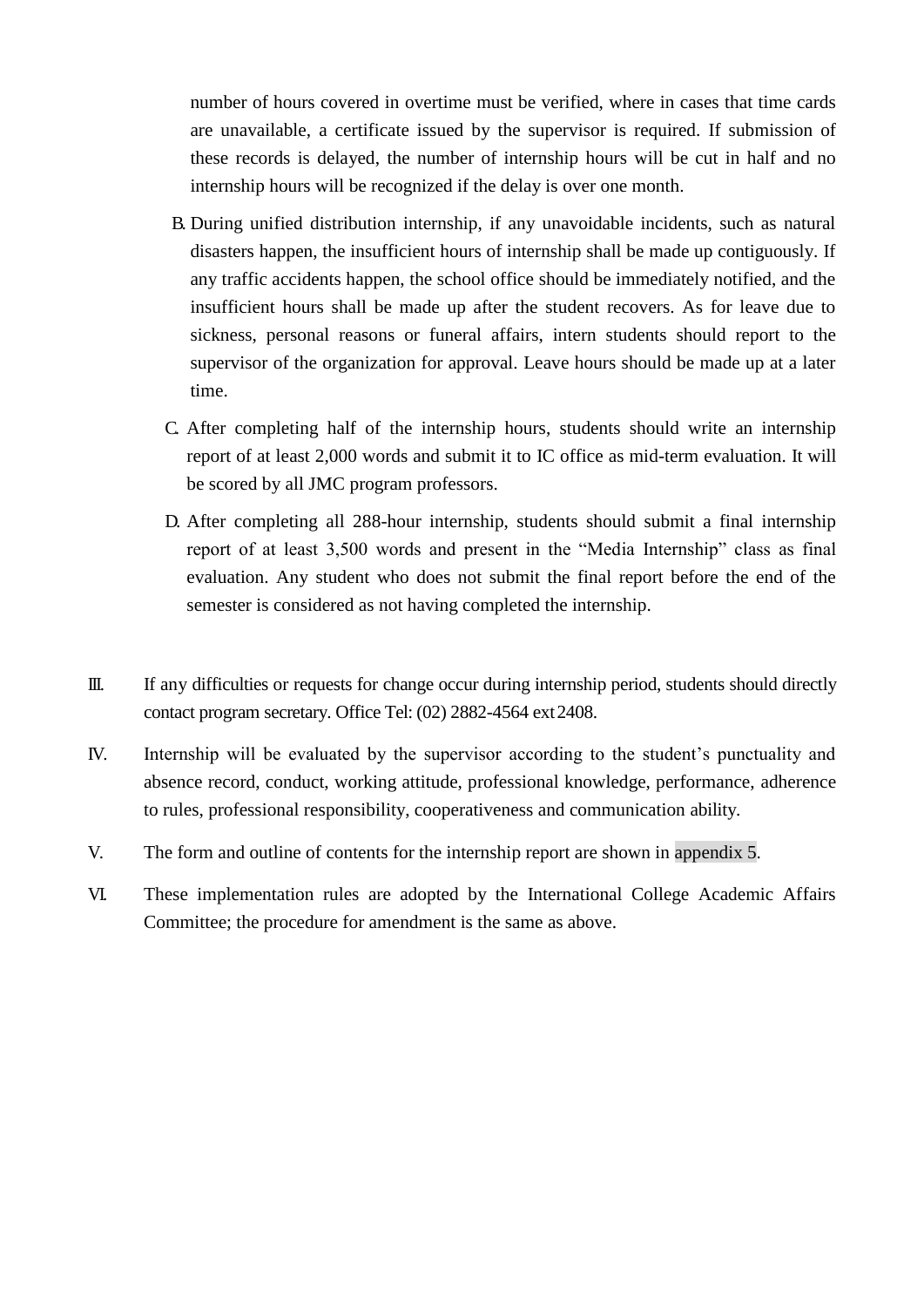number of hours covered in overtime must be verified, where in cases that time cards are unavailable, a certificate issued by the supervisor is required. If submission of these records is delayed, the number of internship hours will be cut in half and no internship hours will be recognized if the delay is over one month.

- B. During unified distribution internship, if any unavoidable incidents, such as natural disasters happen, the insufficient hours of internship shall be made up contiguously. If any traffic accidents happen, the school office should be immediately notified, and the insufficient hours shall be made up after the student recovers. As for leave due to sickness, personal reasons or funeral affairs, intern students should report to the supervisor of the organization for approval. Leave hours should be made up at a later time.
- C. After completing half of the internship hours, students should write an internship report of at least 2,000 words and submit it to IC office as mid-term evaluation. It will be scored by all JMC program professors.
- D. After completing all 288-hour internship, students should submit a final internship report of at least 3,500 words and present in the "Media Internship" class as final evaluation. Any student who does not submit the final report before the end of the semester is considered as not having completed the internship.
- III. If any difficulties or requests for change occur during internship period, students should directly contact program secretary. Office Tel: (02) 2882-4564 ext 2408.
- IV. Internship will be evaluated by the supervisor according to the student's punctuality and absence record, conduct, working attitude, professional knowledge, performance, adherence to rules, professional responsibility, cooperativeness and communication ability.
- V. The form and outline of contents for the internship report are shown in appendix 5.
- VI. These implementation rules are adopted by the International College Academic Affairs Committee; the procedure for amendment is the same as above.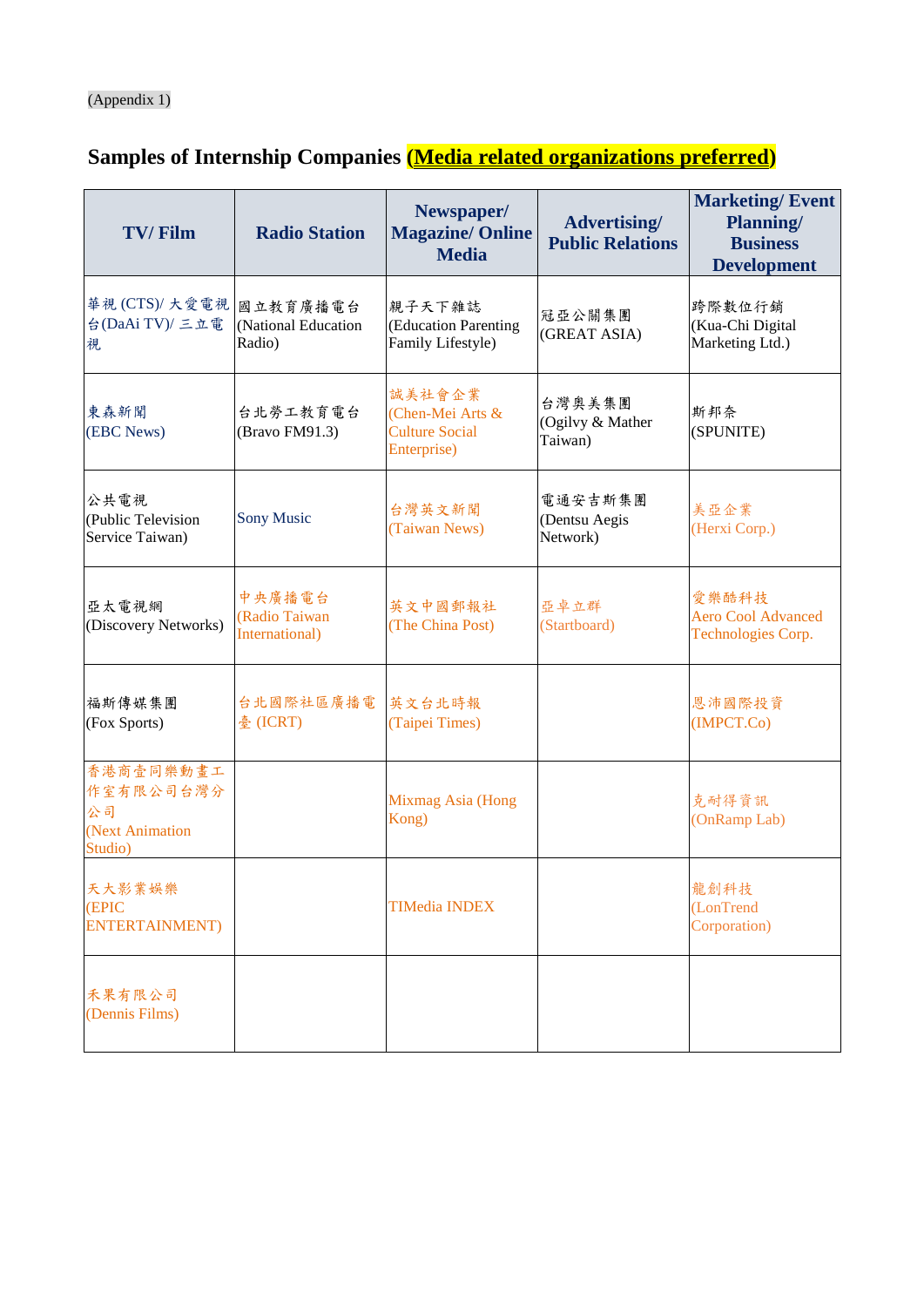# (Appendix 1)

# **Samples of Internship Companies (Media related organizations preferred)**

| <b>TV/Film</b>                                             | <b>Radio Station</b>                      | Newspaper/<br><b>Magazine/ Online</b><br><b>Media</b>              | <b>Advertising/</b><br><b>Public Relations</b> | <b>Marketing/Event</b><br><b>Planning/</b><br><b>Business</b><br><b>Development</b> |
|------------------------------------------------------------|-------------------------------------------|--------------------------------------------------------------------|------------------------------------------------|-------------------------------------------------------------------------------------|
| 華視(CTS)/大愛電視<br>台(DaAi TV)/ 三立電<br>視                       | 國立教育廣播電台<br>(National Education<br>Radio) | 親子天下雜誌<br>(Education Parenting<br>Family Lifestyle)                | 冠亞公關集團<br>(GREAT ASIA)                         | 跨際數位行銷<br>(Kua-Chi Digital<br>Marketing Ltd.)                                       |
| 東森新聞<br>(EBC News)                                         | 台北勞工教育電台<br>(Bravo FM91.3)                | 誠美社會企業<br>(Chen-Mei Arts &<br><b>Culture Social</b><br>Enterprise) | 台灣奧美集團<br>(Ogilvy & Mather<br>Taiwan)          | 斯邦奈<br>(SPUNITE)                                                                    |
| 公共電視<br>(Public Television<br>Service Taiwan)              | <b>Sony Music</b>                         | 台灣英文新聞<br>(Taiwan News)                                            | 電通安吉斯集團<br>(Dentsu Aegis<br>Network)           | 美亞企業<br>(Herxi Corp.)                                                               |
| 亞太電視網<br>(Discovery Networks)                              | 中央廣播電台<br>(Radio Taiwan<br>International) | 英文中國郵報社<br>(The China Post)                                        | 亞卓立群<br>(Startboard)                           | 愛樂酷科技<br><b>Aero Cool Advanced</b><br>Technologies Corp.                            |
| 福斯傳媒集團<br>(Fox Sports)                                     | 台北國際社區廣播電<br>臺 (ICRT)                     | 英文台北時報<br>(Taipei Times)                                           |                                                | 恩沛國際投資<br>(IMPCT.Co)                                                                |
| 香港商壹同樂動畫工<br>作室有限公司台灣分<br>公司<br>(Next Animation<br>Studio) |                                           | Mixmag Asia (Hong<br>Kong)                                         |                                                | 克耐得資訊<br>(OnRamp Lab)                                                               |
| 天大影業娱樂<br>(EPIC<br><b>ENTERTAINMENT</b> )                  |                                           | <b>TIMedia INDEX</b>                                               |                                                | 龍創科技<br>(LonTrend<br>Corporation)                                                   |
| 禾果有限公司<br>(Dennis Films)                                   |                                           |                                                                    |                                                |                                                                                     |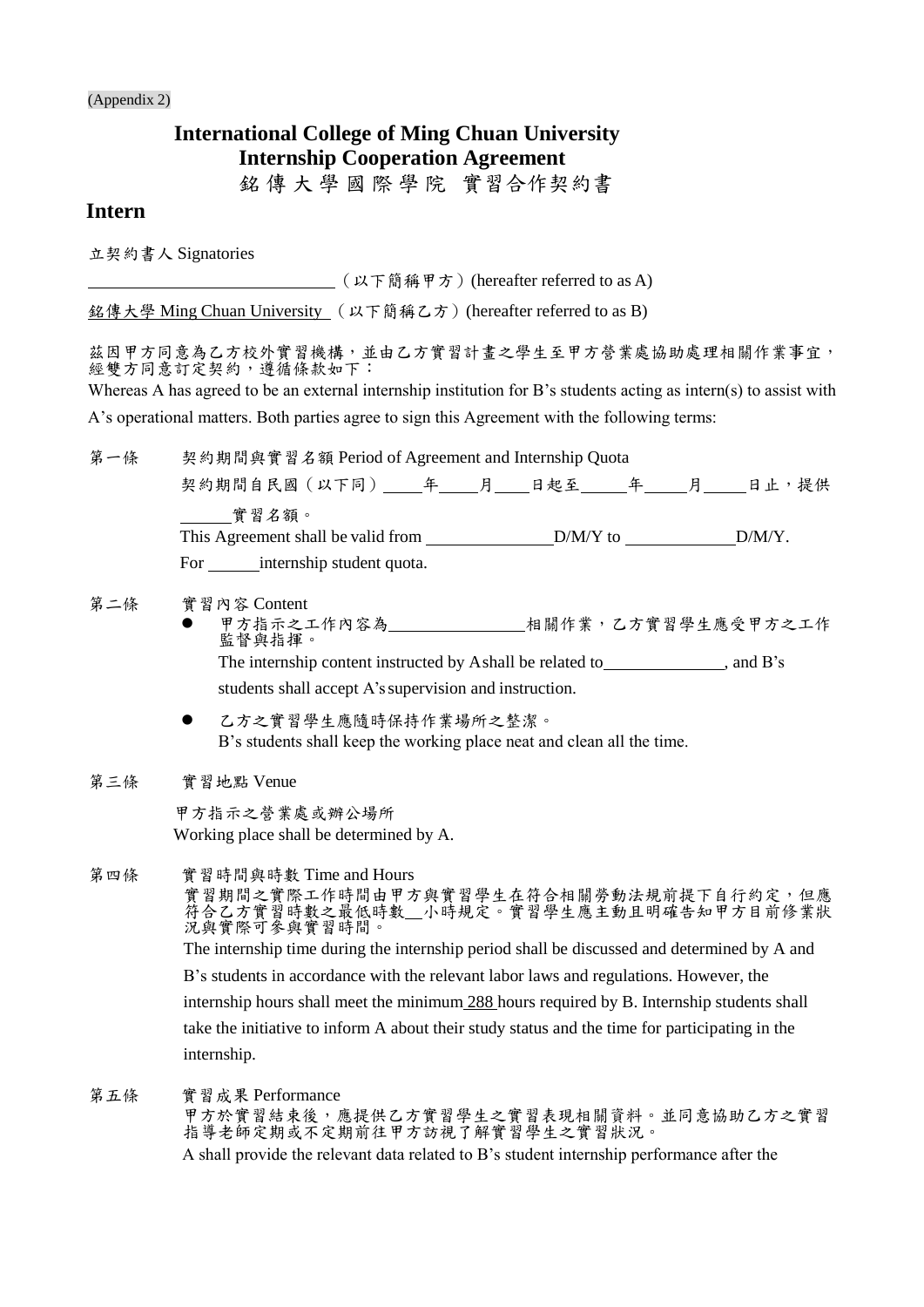(Appendix 2)

# **International College of Ming Chuan University Internship Cooperation Agreement**

銘 傳 大 學 國 際 學 院 雷習合作契約書

## **Intern**

立契約書人 Signatories

(以下簡稱甲方)(hereafter referred to as A)

銘傳大學 Ming Chuan University (以下簡稱乙方)(hereafter referred to as B)

兹因甲方同意為乙方質習機構,並由乙方實習計畫之學生至甲方營業處協助處理相關作業事宜, 經雙方同意訂定契約,遵循條款如下:

Whereas A has agreed to be an external internship institution for B's students acting as intern(s) to assist with A's operational matters. Both parties agree to sign this Agreement with the following terms:

第一條 契約期間與實習名額 Period of Agreement and Internship Quota 契約期間自民國(以下同) 年 月 日起至 年 月 日止,提供 實習名額。 This Agreement shall be valid from D/M/Y to D/M/Y. For \_\_\_\_\_\_\_\_\_ internship student quota. 第二條 實習內容 Content 甲方指示之工作內容為<br>
——————————————相關作業,乙方實習學生應受甲方之工作 監督與指揮。 The internship content instructed by Ashall be related to , and B's

students shall accept A's supervision and instruction.

 乙方之實習學生應隨時保持作業場所之整潔。 B's students shall keep the working place neat and clean all the time.

第三條 實習地點 Venue

甲方指示之營業處或辦公場所 Working place shall be determined by A.

第四條 實習時間與時數 Time and Hours

實習期間之實際工作時間由甲方與實習學生在符合相關勞動法規前提下自行約定,但應 符合乙方實習時數之最低時數 \_小時規定。實習學生應主動且明確告知甲方目前修業狀 況與實際可參與實習時間。 The internship time during the internship period shall be discussed and determined by A and B's students in accordance with the relevant labor laws and regulations. However, the internship hours shall meet the minimum 288 hours required by B. Internship students shall take the initiative to inform A about their study status and the time for participating in the internship.

第五條 實習成果 Performance

甲方於實習結束後,應提供乙方實習學生之實習表現相關資料。並同意協助乙方之實習 指導老師定期或不定期前往甲方訪視了解實習學生之實習狀況。 A shall provide the relevant data related to B's student internship performance after the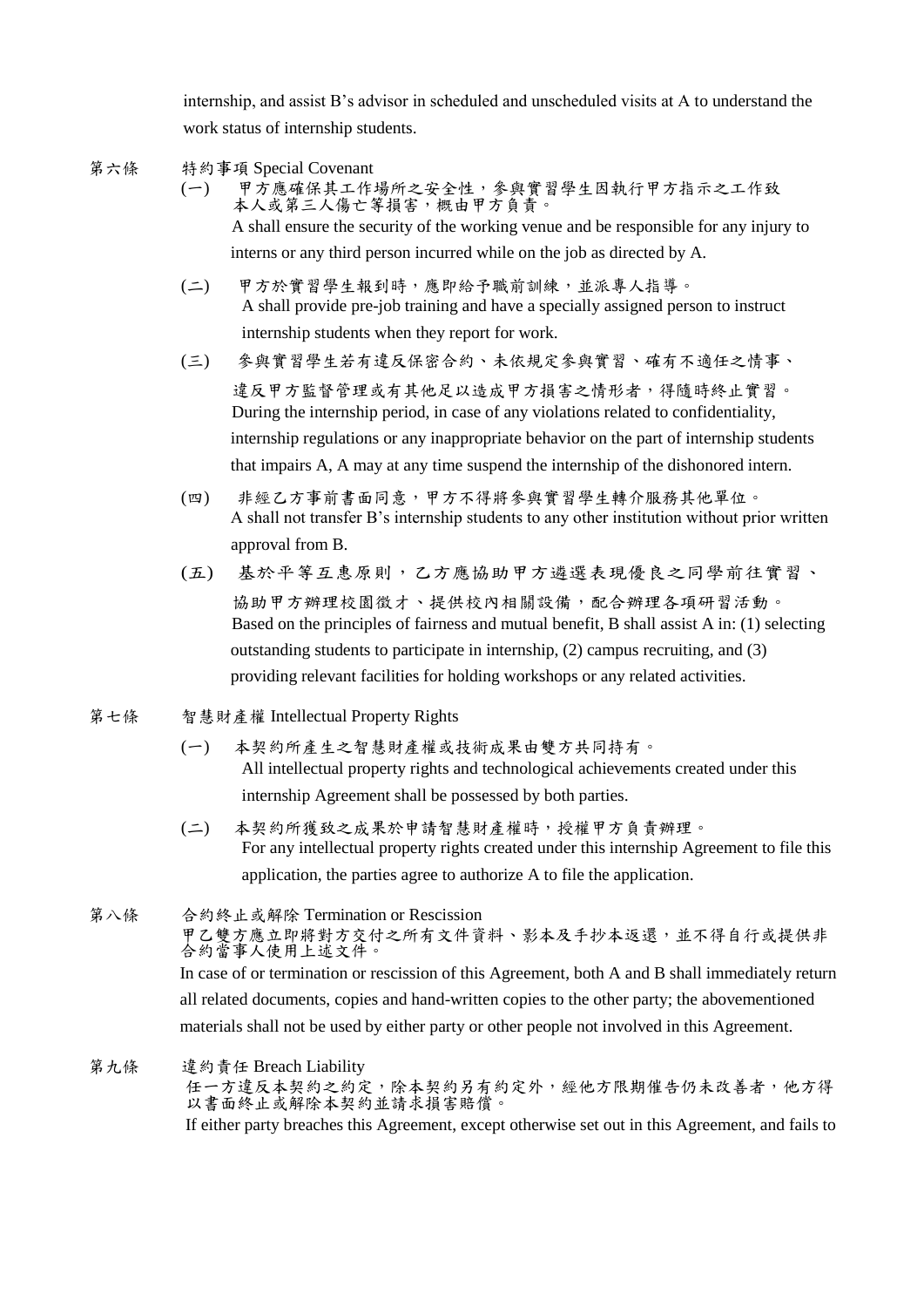internship, and assist B's advisor in scheduled and unscheduled visits at A to understand the work status of internship students.

第六條 特約事項 Special Covenant

(一) 甲方應確保其工作場所之安全性,參與實習學生因執行甲方指示之工作致 本人或第三人傷亡等損害,概由甲方負責。 A shall ensure the security of the working venue and be responsible for any injury to interns or any third person incurred while on the job as directed by A.

- (二) 甲方於實習學生報到時,應即給予職前訓練,並派專人指導。 A shall provide pre-job training and have a specially assigned person to instruct internship students when they report for work.
- (三) 參與實習學生若有違反保密合約、未依規定參與實習、確有不適任之情事、 違反甲方監督管理或有其他足以造成甲方損害之情形者,得隨時終止實習。 During the internship period, in case of any violations related to confidentiality, internship regulations or any inappropriate behavior on the part of internship students that impairs A, A may at any time suspend the internship of the dishonored intern.
- (四) 非經乙方事前書面同意,甲方不得將參與實習學生轉介服務其他單位。 A shall not transfer B's internship students to any other institution without prior written approval from B.
- (五) 基於平等互惠原則,乙方應協助甲方遴選表現優良之同學前往實習、 協助甲方辦理校園徵才、提供校內相關設備,配合辦理各項研習活動。 Based on the principles of fairness and mutual benefit, B shall assist A in: (1) selecting outstanding students to participate in internship, (2) campus recruiting, and (3) providing relevant facilities for holding workshops or any related activities.
- 第七條 智慧財產權 Intellectual Property Rights
	- (一) 本契約所產生之智慧財產權或技術成果由雙方共同持有。 All intellectual property rights and technological achievements created under this internship Agreement shall be possessed by both parties.
	- (二) 本契約所獲致之成果於申請智慧財產權時,授權甲方負責辦理。 For any intellectual property rights created under this internship Agreement to file this application, the parties agree to authorize A to file the application.

第八條 合約終止或解除 Termination or Rescission 甲乙雙方應立即將對方交付之所有文件資料、影本及手抄本返還,並不得自行或提供非 合約當事人使用上述文件。 In case of or termination or rescission of this Agreement, both A and B shall immediately return all related documents, copies and hand-written copies to the other party; the abovementioned materials shall not be used by either party or other people not involved in this Agreement.

第九條 違約責任 Breach Liability 任一方違反本契約定,除本契約另有約定外,經他方限期催告仍未改善者,他方得 以書面終止或解除本契約並請求損害賠償。 If either party breaches this Agreement, except otherwise set out in this Agreement, and fails to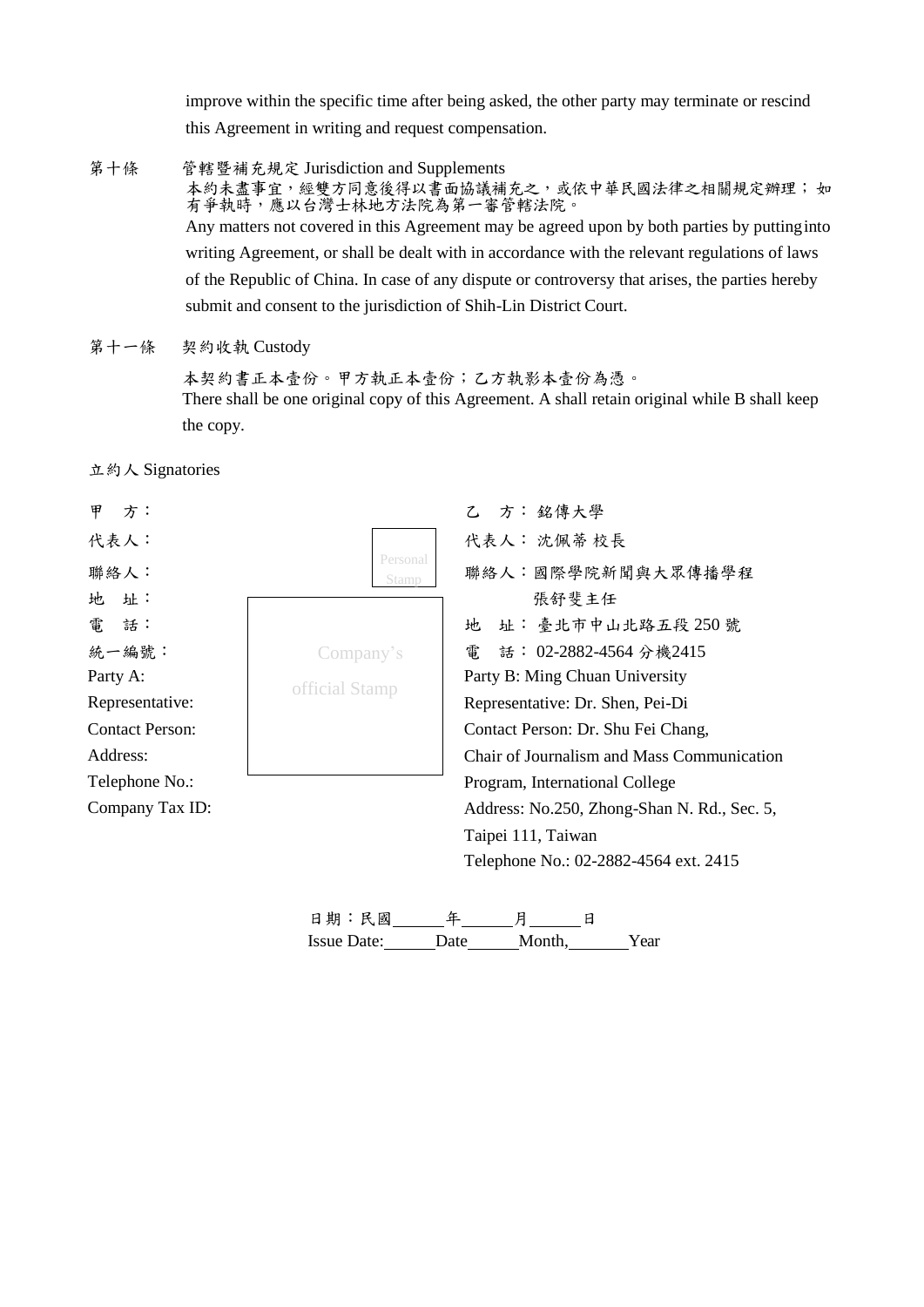improve within the specific time after being asked, the other party may terminate or rescind this Agreement in writing and request compensation.

- 第十條 管轄暨補充規定 Jurisdiction and Supplements 本約未盡事宜,經雙方同意後得以書面協議補充之,或依中華民國法律之相關規定辦理;如 有爭執時,應以台灣士林地方法院為第一審管轄法院。 Any matters not covered in this Agreement may be agreed upon by both parties by puttinginto writing Agreement, or shall be dealt with in accordance with the relevant regulations of laws of the Republic of China. In case of any dispute or controversy that arises, the parties hereby submit and consent to the jurisdiction of Shih-Lin District Court.
- 第十一條 契約收執 Custody

本契約書正本壹份。甲方執正本壹份;乙方執影本壹份為憑。 There shall be one original copy of this Agreement. A shall retain original while B shall keep the copy.





Issue Date: Date Month, Year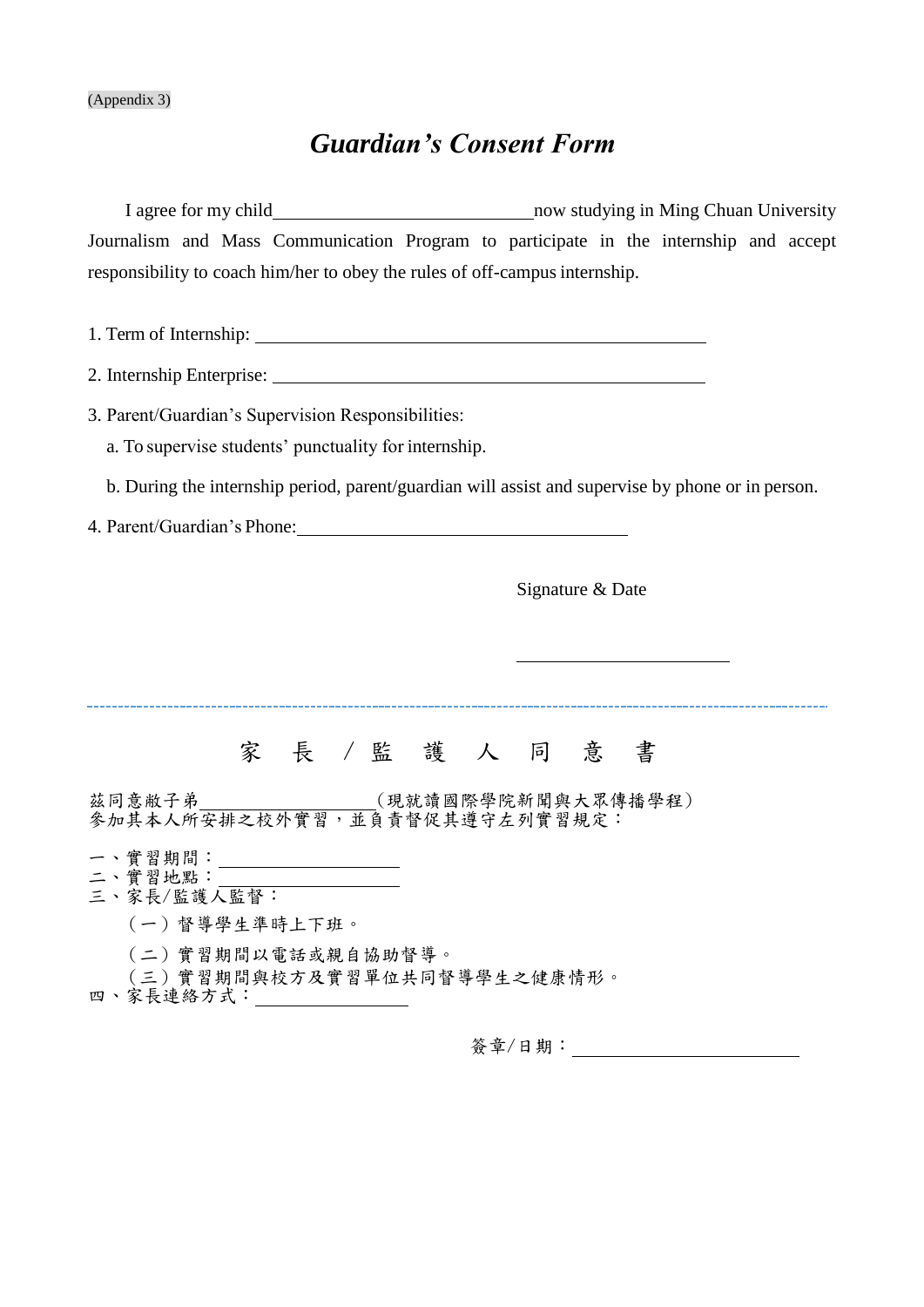# *Guardian's Consent Form*

I agree for my child now studying in Ming Chuan University Journalism and Mass Communication Program to participate in the internship and accept responsibility to coach him/her to obey the rules of off-campus internship. 1. Term of Internship: 2. Internship Enterprise: 3. Parent/Guardian's Supervision Responsibilities: a. To supervise students' punctuality for internship. b. During the internship period, parent/guardian will assist and supervise by phone or in person. 4. Parent/Guardian's Phone: Signature & Date -----------------------------------家長/監護人同意書 茲同意敝子弟 (現就讀國際學院新聞與大眾傳播學程) 參加其本人所安排之校外實習,並負責督促其遵守左列實習規定: 一、實習期間: 二、實習地點: 三、家長/監護人監督: (一)督導學生準時上下班。 (二)實習期間以電話或親自協助督導。 (三)實習期間與校方及實習單位共同督導學生之健康情形。 四、家長連絡方式: \_\_\_\_\_\_\_\_\_\_\_\_\_

簽章/日期: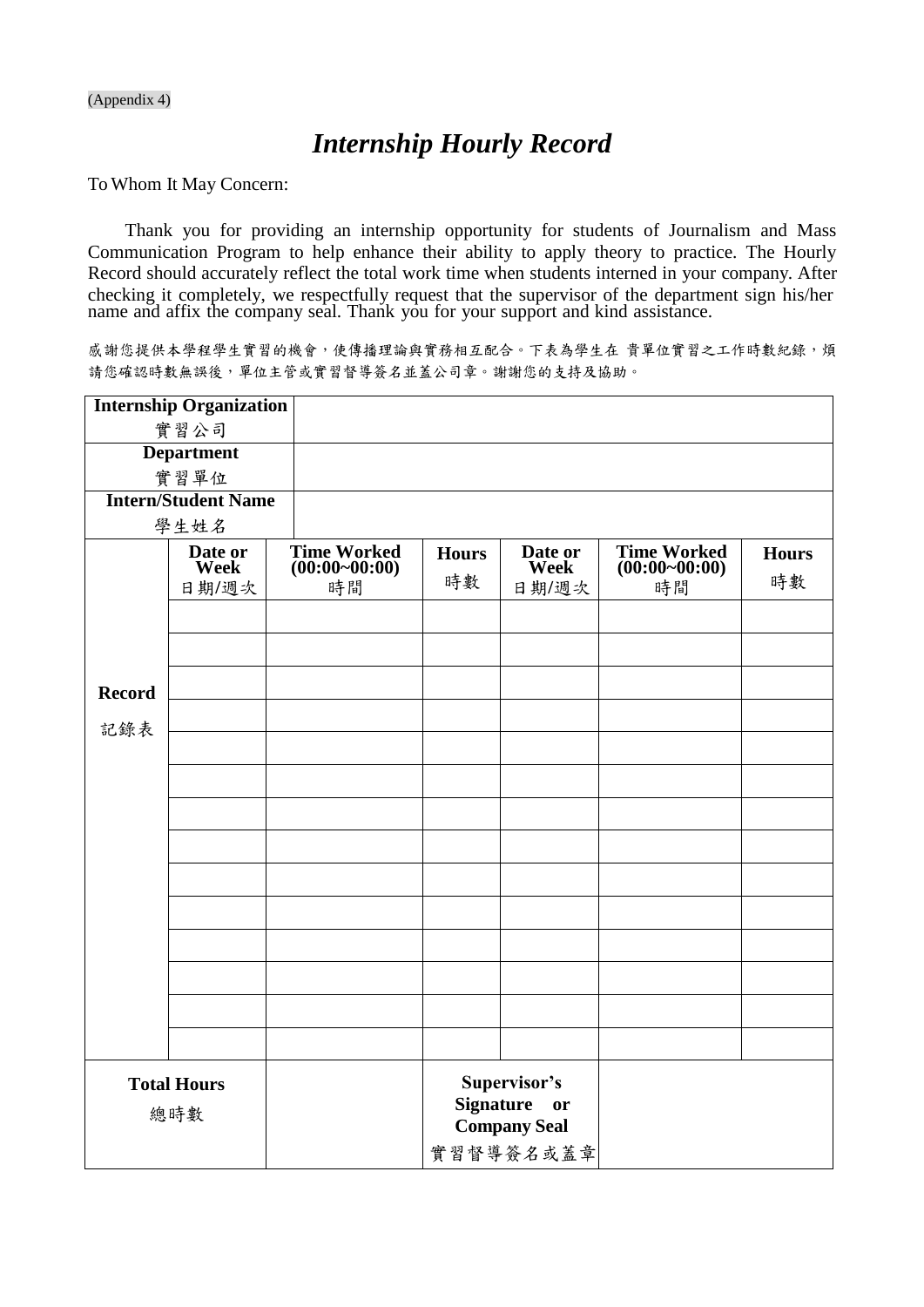#### (Appendix 4)

# *Internship Hourly Record*

To Whom It May Concern:

Thank you for providing an internship opportunity for students of Journalism and Mass Communication Program to help enhance their ability to apply theory to practice. The Hourly Record should accurately reflect the total work time when students interned in your company. After checking it completely, we respectfully request that the supervisor of the department sign his/her name and affix the company seal. Thank you for your support and kind assistance.

感謝您提供本學程學生實習的機會,使傳播理論與實務相互配合。下表為學生在 貴單位實習之工作時數紀錄,煩 請您確認時數無誤後,單位主管或實習督導簽名並蓋公司章。謝謝您的支持及協助。

|                           | <b>Internship Organization</b> |                                       |                  |                                                  |                                       |              |
|---------------------------|--------------------------------|---------------------------------------|------------------|--------------------------------------------------|---------------------------------------|--------------|
|                           | 實習公司                           |                                       |                  |                                                  |                                       |              |
|                           | <b>Department</b>              |                                       |                  |                                                  |                                       |              |
|                           | 實習單位                           |                                       |                  |                                                  |                                       |              |
|                           | <b>Intern/Student Name</b>     |                                       |                  |                                                  |                                       |              |
|                           | 學生姓名                           |                                       |                  |                                                  |                                       |              |
|                           | Date or<br><b>Week</b>         | <b>Time Worked</b><br>$(00:00-00:00)$ | <b>Hours</b>     | Date or<br><b>Week</b>                           | <b>Time Worked</b><br>$(00:00-00:00)$ | <b>Hours</b> |
|                           | 日期/週次                          | 時間                                    | 時數               | 日期/週次                                            | 時間                                    | 時數           |
|                           |                                |                                       |                  |                                                  |                                       |              |
|                           |                                |                                       |                  |                                                  |                                       |              |
|                           |                                |                                       |                  |                                                  |                                       |              |
| <b>Record</b>             |                                |                                       |                  |                                                  |                                       |              |
|                           |                                |                                       |                  |                                                  |                                       |              |
| 記錄表                       |                                |                                       |                  |                                                  |                                       |              |
|                           |                                |                                       |                  |                                                  |                                       |              |
|                           |                                |                                       |                  |                                                  |                                       |              |
|                           |                                |                                       |                  |                                                  |                                       |              |
|                           |                                |                                       |                  |                                                  |                                       |              |
|                           |                                |                                       |                  |                                                  |                                       |              |
|                           |                                |                                       |                  |                                                  |                                       |              |
|                           |                                |                                       |                  |                                                  |                                       |              |
|                           |                                |                                       |                  |                                                  |                                       |              |
|                           |                                |                                       |                  |                                                  |                                       |              |
|                           |                                |                                       |                  |                                                  |                                       |              |
|                           |                                |                                       |                  |                                                  |                                       |              |
|                           |                                |                                       |                  |                                                  |                                       |              |
| <b>Total Hours</b><br>總時數 |                                |                                       | <b>Signature</b> | Supervisor's<br><b>or</b><br><b>Company Seal</b> |                                       |              |
|                           |                                |                                       |                  | 實習督導簽名或蓋章                                        |                                       |              |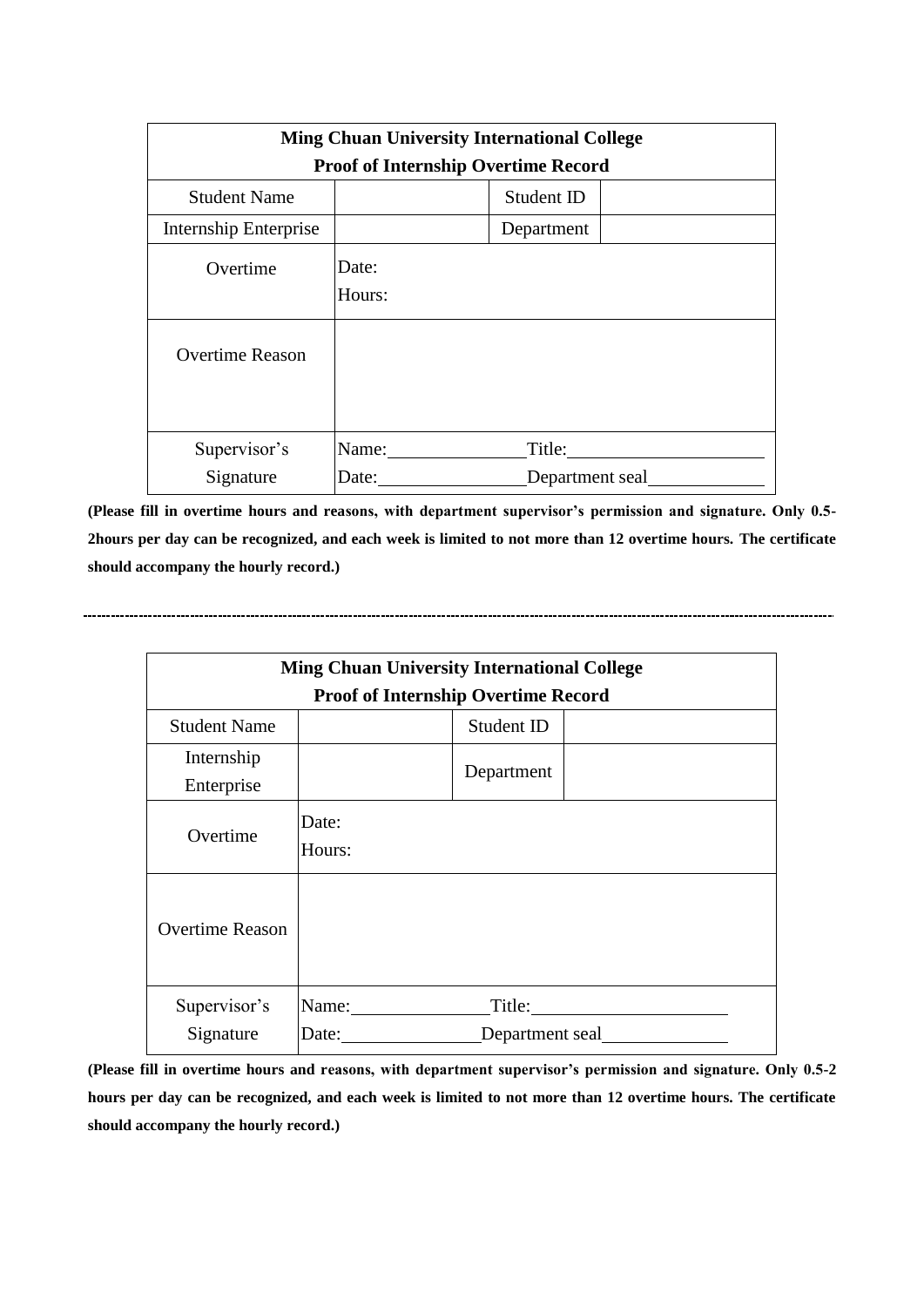| <b>Ming Chuan University International College</b> |                                            |            |  |  |  |
|----------------------------------------------------|--------------------------------------------|------------|--|--|--|
|                                                    | <b>Proof of Internship Overtime Record</b> |            |  |  |  |
| <b>Student Name</b>                                | Student ID                                 |            |  |  |  |
| <b>Internship Enterprise</b>                       |                                            | Department |  |  |  |
| Overtime                                           | Date:                                      |            |  |  |  |
|                                                    | Hours:                                     |            |  |  |  |
| <b>Overtime Reason</b>                             |                                            |            |  |  |  |
| Supervisor's                                       | Name:                                      | Title:     |  |  |  |
| Signature<br>Department seal<br>Date:              |                                            |            |  |  |  |

**(Please fill in overtime hours and reasons, with department supervisor's permission and signature. Only 0.5- 2hours per day can be recognized, and each week is limited to not more than 12 overtime hours. The certificate should accompany the hourly record.)**

| <b>Ming Chuan University International College</b> |                 |                 |  |  |
|----------------------------------------------------|-----------------|-----------------|--|--|
| <b>Proof of Internship Overtime Record</b>         |                 |                 |  |  |
| <b>Student Name</b>                                |                 | Student ID      |  |  |
| Internship<br>Enterprise                           |                 | Department      |  |  |
| Overtime                                           | Date:<br>Hours: |                 |  |  |
| <b>Overtime Reason</b>                             |                 |                 |  |  |
| Supervisor's                                       | Name:           | Title:          |  |  |
| Signature                                          | Date:           | Department seal |  |  |

**(Please fill in overtime hours and reasons, with department supervisor's permission and signature. Only 0.5-2 hours per day can be recognized, and each week is limited to not more than 12 overtime hours. The certificate should accompany the hourly record.)**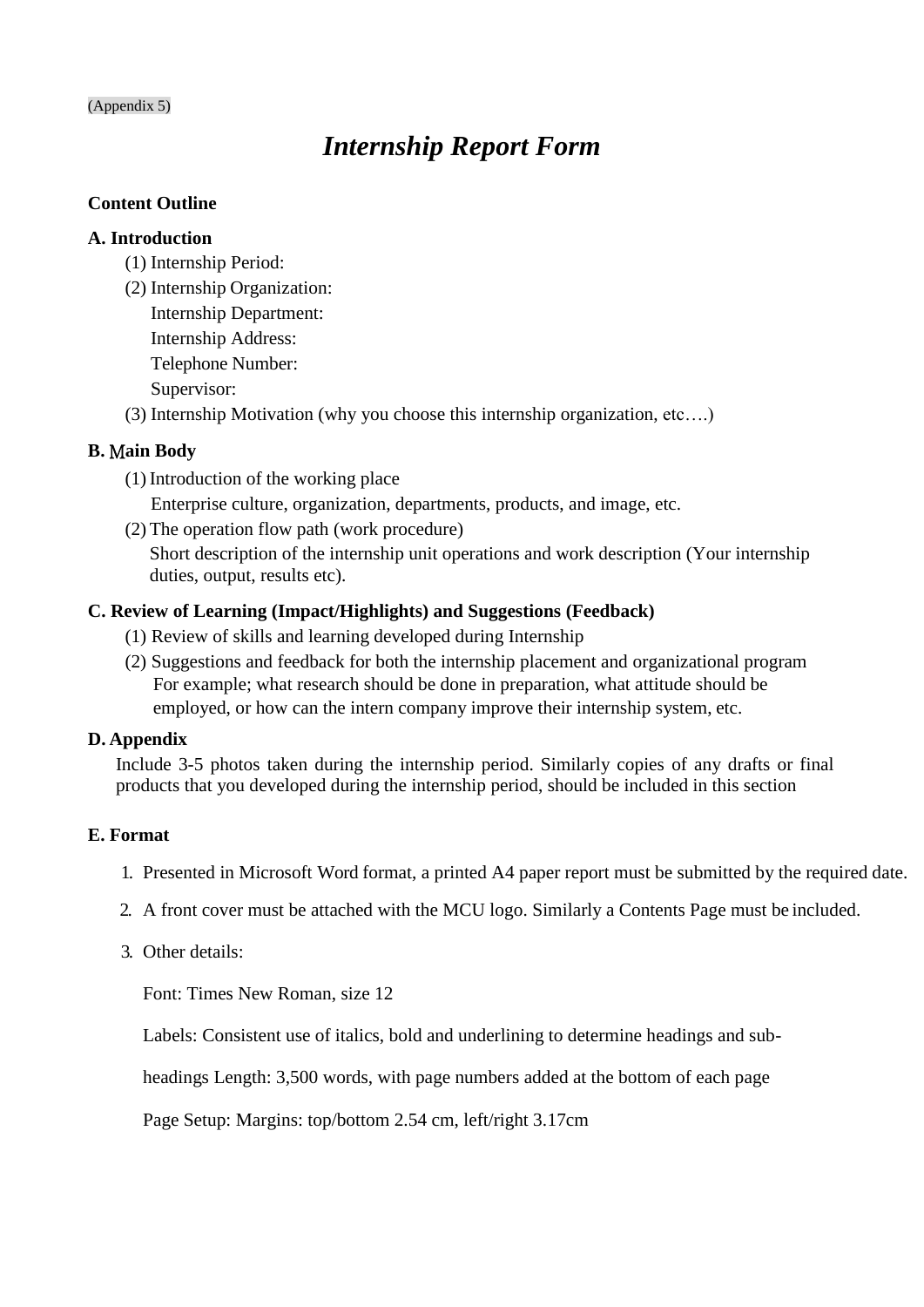#### (Appendix 5)

# *Internship Report Form*

#### **Content Outline**

#### **A. Introduction**

- (1) Internship Period:
- (2) Internship Organization: Internship Department:
	- Internship Address:
	- Telephone Number:

Supervisor:

(3) Internship Motivation (why you choose this internship organization, etc….)

### **B.** M**ain Body**

(1) Introduction of the working place

Enterprise culture, organization, departments, products, and image, etc.

(2) The operation flow path (work procedure)

Short description of the internship unit operations and work description (Your internship duties, output, results etc).

### **C. Review of Learning (Impact/Highlights) and Suggestions (Feedback)**

- (1) Review of skills and learning developed during Internship
- (2) Suggestions and feedback for both the internship placement and organizational program For example; what research should be done in preparation, what attitude should be employed, or how can the intern company improve their internship system, etc.

### **D. Appendix**

Include 3-5 photos taken during the internship period. Similarly copies of any drafts or final products that you developed during the internship period, should be included in this section

### **E. Format**

- 1. Presented in Microsoft Word format, a printed A4 paper report must be submitted by the required date.
- 2. A front cover must be attached with the MCU logo. Similarly a Contents Page must be included.
- 3. Other details:

Font: Times New Roman, size 12

Labels: Consistent use of italics, bold and underlining to determine headings and sub-

headings Length: 3,500 words, with page numbers added at the bottom of each page

Page Setup: Margins: top/bottom 2.54 cm, left/right 3.17cm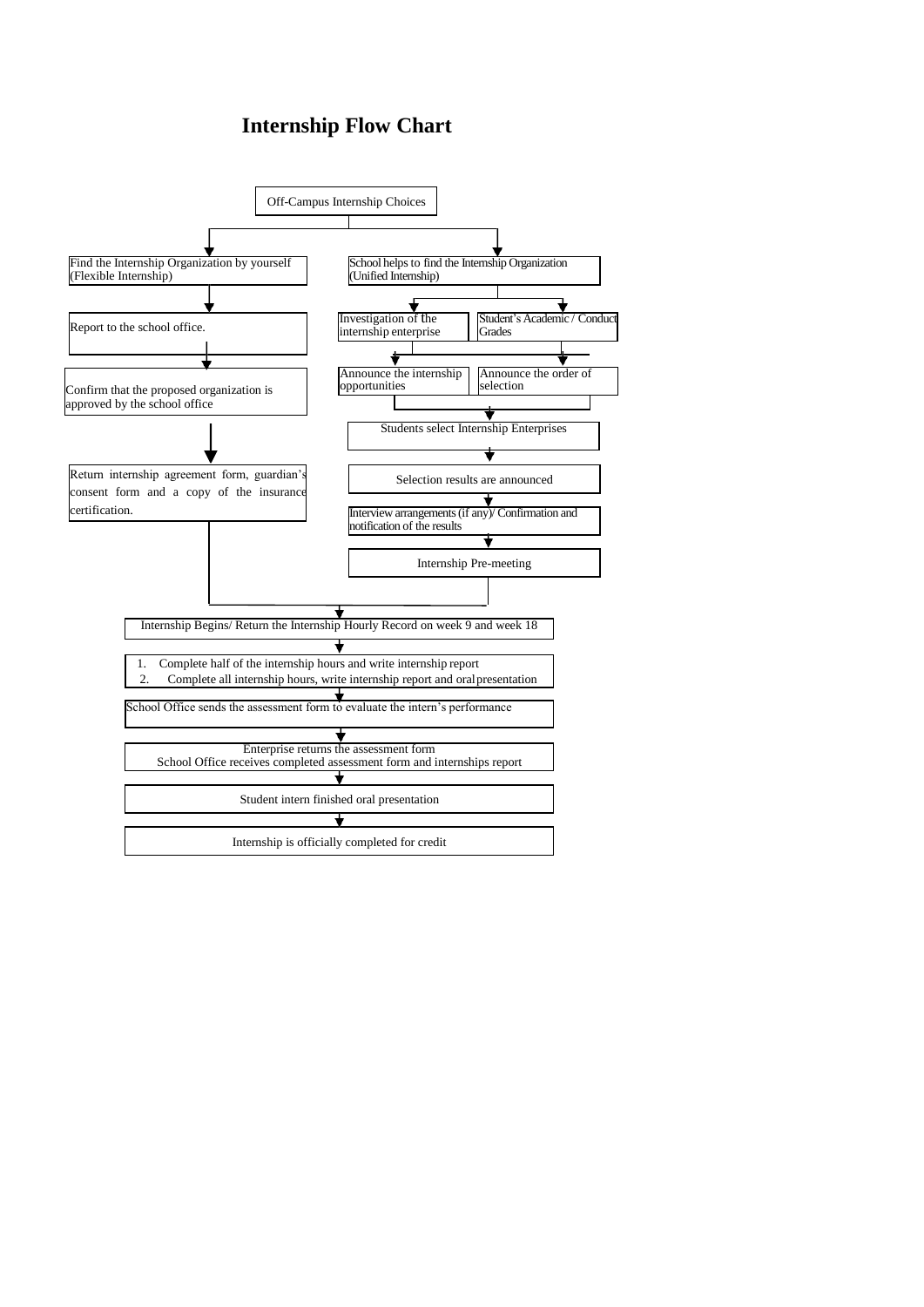# **Internship Flow Chart**

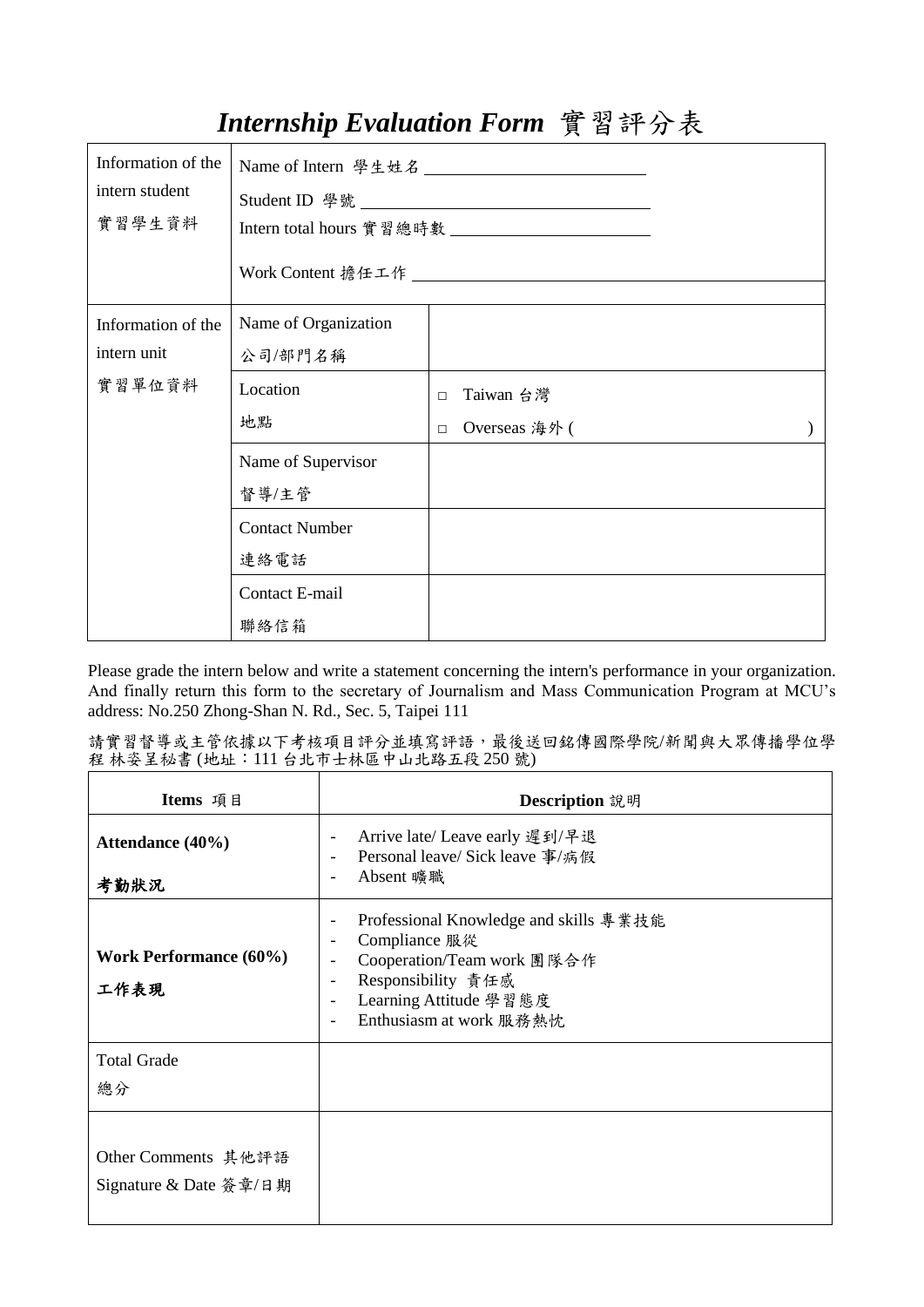# *Internship Evaluation Form* 實習評分表

| Information of the<br>intern student<br>實習學生資料 |                       |                         |  |
|------------------------------------------------|-----------------------|-------------------------|--|
| Information of the                             | Name of Organization  |                         |  |
| intern unit                                    | 公司/部門名稱               |                         |  |
| 實習單位資料                                         | Location              | Taiwan 台灣<br>$\Box$     |  |
|                                                | 地點                    | Overseas 海外 (<br>$\Box$ |  |
|                                                | Name of Supervisor    |                         |  |
|                                                | 督導/主管                 |                         |  |
|                                                | <b>Contact Number</b> |                         |  |
|                                                | 連絡電話                  |                         |  |
|                                                | Contact E-mail        |                         |  |
|                                                | 聯絡信箱                  |                         |  |

Please grade the intern below and write a statement concerning the intern's performance in your organization. And finally return this form to the secretary of Journalism and Mass Communication Program at MCU's address: No.250 Zhong-Shan N. Rd., Sec. 5, Taipei 111

| 請實習督導或主管依據以下考核項目評分並填寫評語,最後送回銘傳國際學院/新聞與大眾傳播學位學 |  |
|-----------------------------------------------|--|
| 程 林姿呈秘書 (地址:111 台北市士林區中山北路五段 250 號)           |  |

| Items 項目                                      | Description 說明                                                                                                                                                                                                                               |
|-----------------------------------------------|----------------------------------------------------------------------------------------------------------------------------------------------------------------------------------------------------------------------------------------------|
| Attendance (40%)<br>考勤狀況                      | Arrive late/ Leave early 遲到/早退<br>$\overline{\phantom{m}}$<br>Personal leave/ Sick leave 事/病假<br>٠<br>Absent 曠職<br>٠                                                                                                                         |
| <b>Work Performance (60%)</b><br>工作表現         | Professional Knowledge and skills 專業技能<br>$\overline{\phantom{m}}$<br>Compliance 服從<br>٠<br>Cooperation/Team work 團隊合作<br>۰<br>Responsibility 責任感<br>٠<br>Learning Attitude 學習態度<br>٠<br>Enthusiasm at work 服務熱忱<br>$\overline{\phantom{a}}$ |
| <b>Total Grade</b><br>總分                      |                                                                                                                                                                                                                                              |
| Other Comments 其他評語<br>Signature & Date 簽章/日期 |                                                                                                                                                                                                                                              |